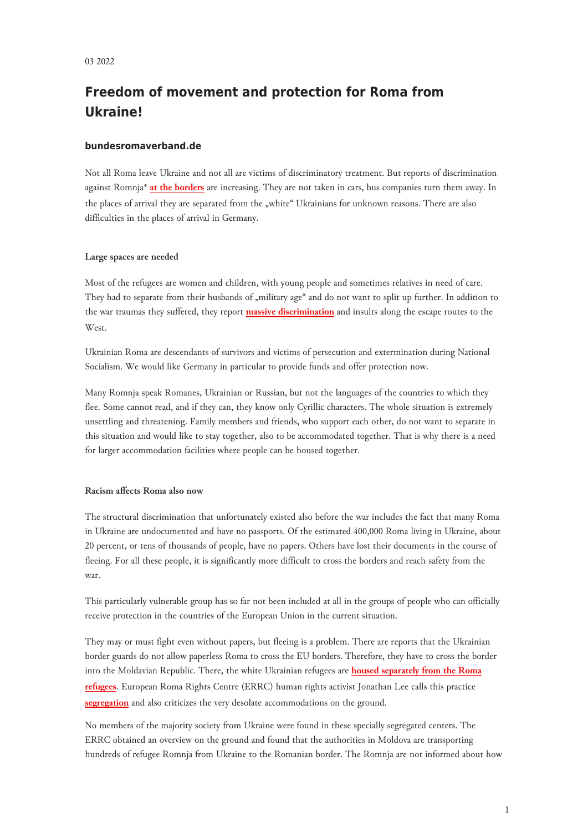# **Freedom of movement and protection for Roma from Ukraine!**

# **bundesromaverband.de**

Not all Roma leave Ukraine and not all are victims of discriminatory treatment. But reports of discrimination against Romnja\* **[at the borders](http://www.errc.org/news/romani-family-denied-exit-from-ukraine-border-guards-accuse-roma-of-wrongdoings-in-hungary)** are increasing. They are not taken in cars, bus companies turn them away. In the places of arrival they are separated from the "white" Ukrainians for unknown reasons. There are also difficulties in the places of arrival in Germany.

#### **Large spaces are needed**

Most of the refugees are women and children, with young people and sometimes relatives in need of care. They had to separate from their husbands of "military age" and do not want to split up further. In addition to the war traumas they suffered, they report **[massive discrimination](https://ran.eu.com/keine-hilfe-fur-fluchtende-roma-aus-der-ukraine-rassismus-in-zeiten-des-krieges/)** and insults along the escape routes to the West.

Ukrainian Roma are descendants of survivors and victims of persecution and extermination during National Socialism. We would like Germany in particular to provide funds and offer protection now.

Many Romnja speak Romanes, Ukrainian or Russian, but not the languages of the countries to which they flee. Some cannot read, and if they can, they know only Cyrillic characters. The whole situation is extremely unsettling and threatening. Family members and friends, who support each other, do not want to separate in this situation and would like to stay together, also to be accommodated together. That is why there is a need for larger accommodation facilities where people can be housed together.

## **Racism affects Roma also now**

The structural discrimination that unfortunately existed also before the war includes the fact that many Roma in Ukraine are undocumented and have no passports. Of the estimated 400,000 Roma living in Ukraine, about 20 percent, or tens of thousands of people, have no papers. Others have lost their documents in the course of fleeing. For all these people, it is significantly more difficult to cross the borders and reach safety from the war.

This particularly vulnerable group has so far not been included at all in the groups of people who can officially receive protection in the countries of the European Union in the current situation.

They may or must fight even without papers, but fleeing is a problem. There are reports that the Ukrainian border guards do not allow paperless Roma to cross the EU borders. Therefore, they have to cross the border into the Moldavian Republic. There, the white Ukrainian refugees are **[housed separately from the Roma](http://www.romea.cz/en/news/world/errc-romani-ukrainians-fleeing-into-moldova-from-russian-aggression-are-discriminated-against-for-lack-of-personal) [refugees](http://www.romea.cz/en/news/world/errc-romani-ukrainians-fleeing-into-moldova-from-russian-aggression-are-discriminated-against-for-lack-of-personal)**. European Roma Rights Centre (ERRC) human rights activist Jonathan Lee calls this practice **[segregation](http://www.errc.org/news/ukrainian-roma-face-segregation-poor-conditions-and---without-documentation---nowhere-to-go)** and also criticizes the very desolate accommodations on the ground.

No members of the majority society from Ukraine were found in these specially segregated centers. The ERRC obtained an overview on the ground and found that the authorities in Moldova are transporting hundreds of refugee Romnja from Ukraine to the Romanian border. The Romnja are not informed about how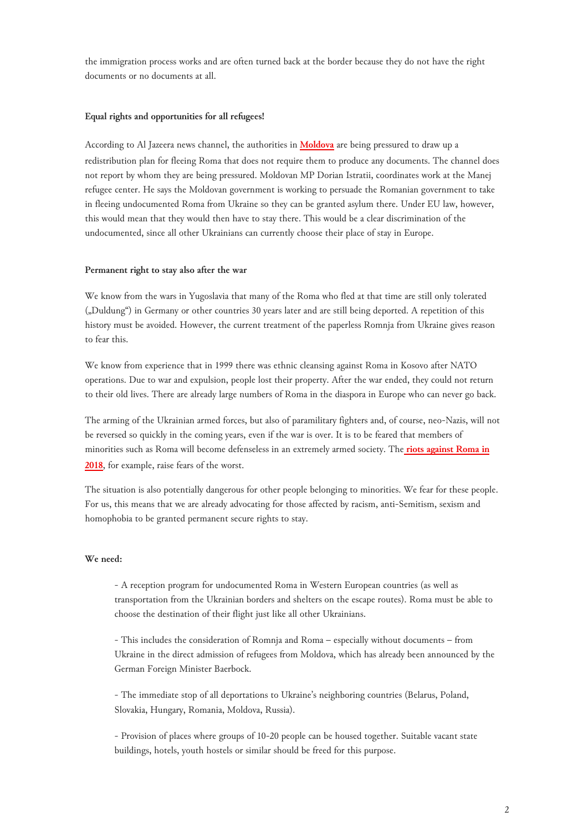the immigration process works and are often turned back at the border because they do not have the right documents or no documents at all.

### **Equal rights and opportunities for all refugees!**

According to Al Jazeera news channel, the authorities in **[Moldova](https://www.aljazeera.com/news/2022/3/7/ukraines-roma-refugees-recount-discrimination-on-route-to-safety)** are being pressured to draw up a redistribution plan for fleeing Roma that does not require them to produce any documents. The channel does not report by whom they are being pressured. Moldovan MP Dorian Istratii, coordinates work at the Manej refugee center. He says the Moldovan government is working to persuade the Romanian government to take in fleeing undocumented Roma from Ukraine so they can be granted asylum there. Under EU law, however, this would mean that they would then have to stay there. This would be a clear discrimination of the undocumented, since all other Ukrainians can currently choose their place of stay in Europe.

#### **Permanent right to stay also after the war**

We know from the wars in Yugoslavia that many of the Roma who fled at that time are still only tolerated ("Duldung") in Germany or other countries 30 years later and are still being deported. A repetition of this history must be avoided. However, the current treatment of the paperless Romnja from Ukraine gives reason to fear this.

We know from experience that in 1999 there was ethnic cleansing against Roma in Kosovo after NATO operations. Due to war and expulsion, people lost their property. After the war ended, they could not return to their old lives. There are already large numbers of Roma in the diaspora in Europe who can never go back.

The arming of the Ukrainian armed forces, but also of paramilitary fighters and, of course, neo-Nazis, will not be reversed so quickly in the coming years, even if the war is over. It is to be feared that members of minorities such as Roma will become defenseless in an extremely armed society. The **[riots against Roma in](https://ran.eu.com/weitere-gewalt-gegen-roma-in-der-ukraine/) [2018](https://ran.eu.com/weitere-gewalt-gegen-roma-in-der-ukraine/)**, for example, raise fears of the worst.

The situation is also potentially dangerous for other people belonging to minorities. We fear for these people. For us, this means that we are already advocating for those affected by racism, anti-Semitism, sexism and homophobia to be granted permanent secure rights to stay.

### **We need:**

- A reception program for undocumented Roma in Western European countries (as well as transportation from the Ukrainian borders and shelters on the escape routes). Roma must be able to choose the destination of their flight just like all other Ukrainians.

- This includes the consideration of Romnja and Roma – especially without documents – from Ukraine in the direct admission of refugees from Moldova, which has already been announced by the German Foreign Minister Baerbock.

- The immediate stop of all deportations to Ukraine's neighboring countries (Belarus, Poland, Slovakia, Hungary, Romania, Moldova, Russia).

- Provision of places where groups of 10-20 people can be housed together. Suitable vacant state buildings, hotels, youth hostels or similar should be freed for this purpose.